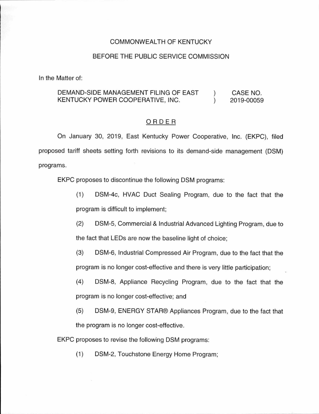### COMMONWEALTH OF KENTUCKY

#### BEFORE THE PUBLIC SERVICE COMMISSION

In the Matter of:

#### DEMAND-SIDE MANAGEMENT FILING OF EAST KENTUCKY POWER COOPERATIVE, INC.  $\lambda$  $\lambda$ CASE NO. 2019-00059

#### ORDER

On January 30, 2019, East Kentucky Power Cooperative, Inc. (EKPC), filed proposed tariff sheets setting forth revisions to its demand-side management (DSM) programs.

EKPC proposes to discontinue the following DSM programs:

(1) DSM-4c, HVAC Duct Sealing Program, due to the fact that the program is difficult to implement;

(2) DSM-5, Commercial & Industrial Advanced Lighting Program, due to the fact that LEDs are now the baseline light of choice;

- (3) DSM-6, Industrial Compressed Air Program, due to the fact that the program is no longer cost-effective and there is very little participation;
- (4) DSM-8, Appliance Recycling Program, due to the fact that the program is no longer cost-effective; and
- (5) DSM-9, ENERGY STAR® Appliances Program, due to the fact that the program is no longer cost-effective.

EKPC proposes to revise the following DSM programs:

(1) DSM-2, Touchstone Energy Home Program;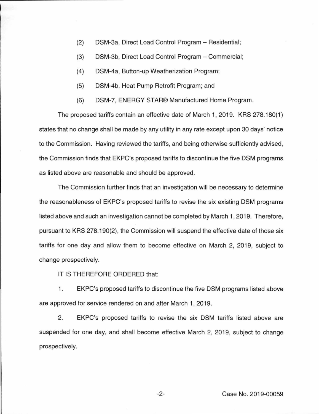- (2) DSM-3a, Direct Load Control Program Residential;
- (3) DSM-3b, Direct Load Control Program Commercial;
- (4) DSM-4a, Button-up Weatherization Program;
- (5) DSM-4b, Heat Pump Retrofit Program; and
- (6) DSM-7, ENERGY STAR® Manufactured Home Program.

The proposed tariffs contain an effective date of March 1, 2019. KRS 278.180(1) states that no change shall be made by any utility in any rate except upon 30 days' notice to the Commission. Having reviewed the tariffs, and being otherwise sufficiently advised, the Commission finds that EKPC's proposed tariffs to discontinue the five DSM programs as listed above are reasonable and should be approved.

The Commission further finds that an investigation will be necessary to determine the reasonableness of EKPC's proposed tariffs to revise the six existing DSM programs listed above and such an investigation cannot be completed by March 1, 2019. Therefore, pursuant to KRS 278.190(2), the Commission will suspend the effective date of those six tariffs for one day and allow them to become effective on March 2, 2019, subject to change prospectively.

IT IS THEREFORE ORDERED that:

1. EKPC's proposed tariffs to discontinue the five DSM programs listed above are approved for service rendered on and after March 1, 2019.

2. EKPC's proposed tariffs to revise the six DSM tariffs listed above are suspended for one day, and shall become effective March 2, 2019, subject to change prospectively.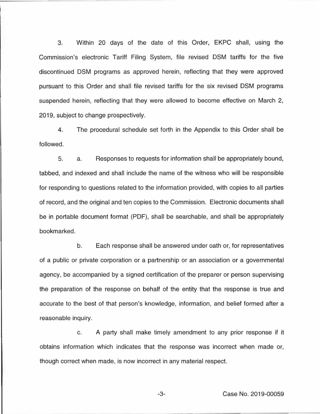3. Within 20 days of the date of this Order, EKPC shall, using the Commission's electronic Tariff Filing System, file revised DSM tariffs for the five discontinued DSM programs as approved herein, reflecting that they were approved pursuant to this Order and shall file revised tariffs for the six revised DSM programs suspended herein, reflecting that they were allowed to become effective on March 2, 2019, subject to change prospectively.

4. The procedural schedule set forth in the Appendix to this Order shall be followed.

5. a. Responses to requests for information shall be appropriately bound, tabbed, and indexed and shall include the name of the witness who will be responsible for responding to questions related to the information provided, with copies to all parties of record, and the original and ten copies to the Commission. Electronic documents shall be in portable document format (PDF), shall be searchable, and shall be appropriately bookmarked.

b. Each response shall be answered under oath or, for representatives of a public or private corporation or a partnership or an association or a governmental agency, be accompanied by a signed certification of the preparer or person supervising the preparation of the response on behalf of the entity that the response is true and accurate to the best of that person's knowledge, information, and belief formed after a reasonable inquiry.

c. A party shall make timely amendment to any prior response if it obtains information which indicates that the response was incorrect when made or, though correct when made, is now incorrect in any material respect.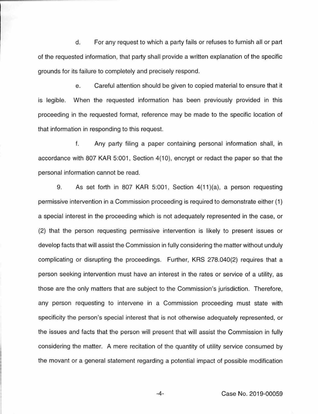d. For any request to which a party fails or refuses to furnish all or part of the requested information, that party shall provide a written explanation of the specific grounds for its failure to completely and precisely respond.

e. Careful attention should be given to copied material to ensure that it is legible. When the requested information has been previously provided in this proceeding in the requested format, reference may be made to the specific location of that information in responding to this request.

f. Any party filing a paper containing personal information shall, in accordance with 807 KAR 5:001, Section 4(10), encrypt or redact the paper so that the personal information cannot be read.

9. As set forth in 807 KAR 5:001, Section 4(11)(a), a person requesting permissive intervention in a Commission proceeding is required to demonstrate either (1) a special interest in the proceeding which is not adequately represented in the case, or (2) that the person requesting permissive intervention is likely to present issues or develop facts that will assist the Commission in fully considering the matter without unduly complicating or disrupting the proceedings. Further, KRS 278.040(2) requires that a person seeking intervention must have an interest in the rates or service of a utility, as those are the only matters that are subject to the Commission's jurisdiction. Therefore, any person requesting to intervene in a Commission proceeding must state with specificity the person's special interest that is not otherwise adequately represented, or the issues and facts that the person will present that will assist the Commission in fully considering the matter. A mere recitation of the quantity of utility service consumed by the movant or a general statement regarding a potential impact of possible modification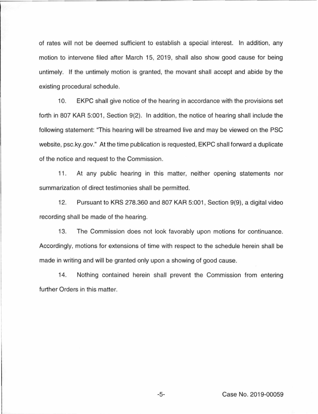of rates will not be deemed sufficient to establish a special interest. In addition, any motion to intervene filed after March 15, 2019, shall also show good cause for being untimely. If the untimely motion is granted, the movant shall accept and abide by the existing procedural schedule.

10. EKPC shall give notice of the hearing in accordance with the provisions set forth in 807 KAR 5:001, Section 9(2). In addition, the notice of hearing shall include the following statement: "This hearing will be streamed live and may be viewed on the PSC website, psc.ky.gov." At the time publication is requested, EKPC shall forward a duplicate of the notice and request to the Commission.

11. At any public hearing in this matter, neither opening statements nor summarization of direct testimonies shall be permitted.

12. Pursuant to KRS 278.360 and 807 KAR 5:001 , Section 9(9), a digital video recording shall be made of the hearing.

13. The Commission does not look favorably upon motions for continuance. Accordingly, motions for extensions of time with respect to the schedule herein shall be made in writing and will be granted only upon a showing of good cause.

14. Nothing contained herein shall prevent the Commission from entering further Orders in this matter.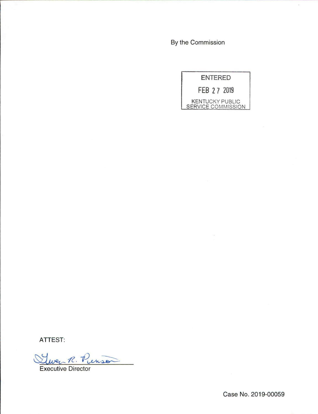By the Commission



ATTEST:

R. Penson

Executive Director

Case No. 2019-00059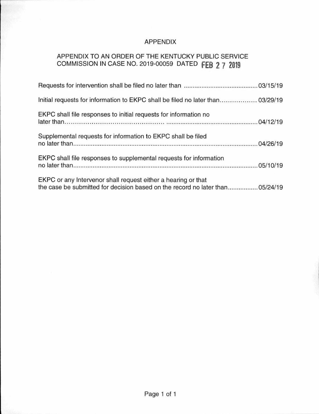## APPENDIX

# APPENDIX TO AN ORDER OF THE KENTUCKY PUBLIC SERVICE COMMISSION IN CASE NO. 2019-00059 DATED **fEB 2 7 2019**

| Initial requests for information to EKPC shall be filed no later than 03/29/19                                                                 |
|------------------------------------------------------------------------------------------------------------------------------------------------|
| EKPC shall file responses to initial requests for information no                                                                               |
| Supplemental requests for information to EKPC shall be filed                                                                                   |
| EKPC shall file responses to supplemental requests for information                                                                             |
| EKPC or any Intervenor shall request either a hearing or that<br>the case be submitted for decision based on the record no later than 05/24/19 |